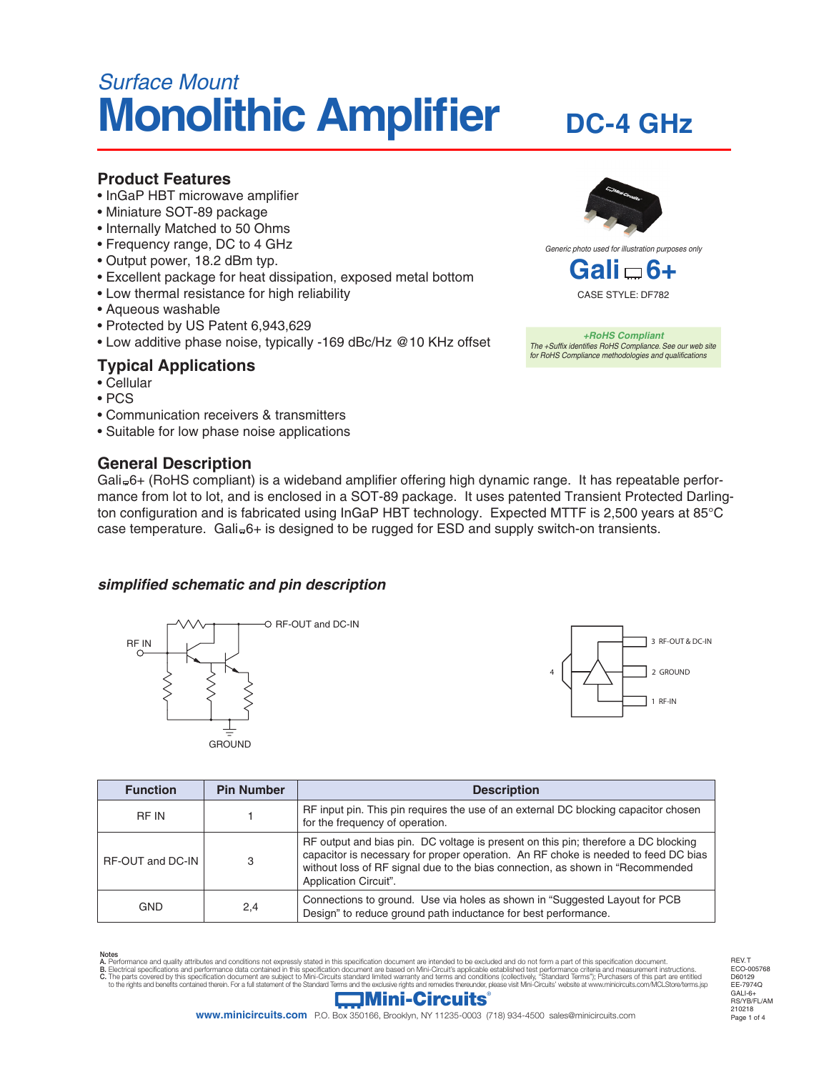# *Surface Mount* **Monolithic Amplifier**

## **DC-4 GHz**

### **Product Features**

- InGaP HBT microwave amplifier
- Miniature SOT-89 package
- Internally Matched to 50 Ohms
- Frequency range, DC to 4 GHz
- Output power, 18.2 dBm typ.
- Excellent package for heat dissipation, exposed metal bottom
- Low thermal resistance for high reliability
- Aqueous washable
- Protected by US Patent 6,943,629
- Low additive phase noise, typically -169 dBc/Hz @10 KHz offset

## **Typical Applications**

- Cellular
- PCS
- Communication receivers & transmitters
- Suitable for low phase noise applications

## **General Description**





*+RoHS Compliant The +Suffix identifies RoHS Compliance. See our web site for RoHS Compliance methodologies and qualifications*

Gali=6+ (RoHS compliant) is a wideband amplifier offering high dynamic range. It has repeatable performance from lot to lot, and is enclosed in a SOT-89 package. It uses patented Transient Protected Darlington configuration and is fabricated using InGaP HBT technology. Expected MTTF is 2,500 years at 85°C case temperature. Gali=6+ is designed to be rugged for ESD and supply switch-on transients.

#### *simplified schematic and pin description*





| <b>Function</b>  | <b>Pin Number</b> | <b>Description</b>                                                                                                                                                                                                                                                                  |  |
|------------------|-------------------|-------------------------------------------------------------------------------------------------------------------------------------------------------------------------------------------------------------------------------------------------------------------------------------|--|
| <b>RF IN</b>     |                   | RF input pin. This pin requires the use of an external DC blocking capacitor chosen<br>for the frequency of operation.                                                                                                                                                              |  |
| RF-OUT and DC-IN | 3                 | RF output and bias pin. DC voltage is present on this pin; therefore a DC blocking<br>capacitor is necessary for proper operation. An RF choke is needed to feed DC bias<br>without loss of RF signal due to the bias connection, as shown in "Recommended<br>Application Circuit". |  |
| <b>GND</b>       | 2,4               | Connections to ground. Use via holes as shown in "Suggested Layout for PCB<br>Design" to reduce ground path inductance for best performance.                                                                                                                                        |  |

Notes<br>A. Performance and quality attributes and conditions not expressly stated in this specification document are intended to be excluded and do not form a part of this specification document.<br>B. Electrical specifications

Page 1 of 4 REV. T ECO-005768 D60129 EE-7974Q GALI-6+ RS/YB/FL/AM 210218

## **Mini-Circuits**

**www.minicircuits.com** P.O. Box 350166, Brooklyn, NY 11235-0003 (718) 934-4500 sales@minicircuits.com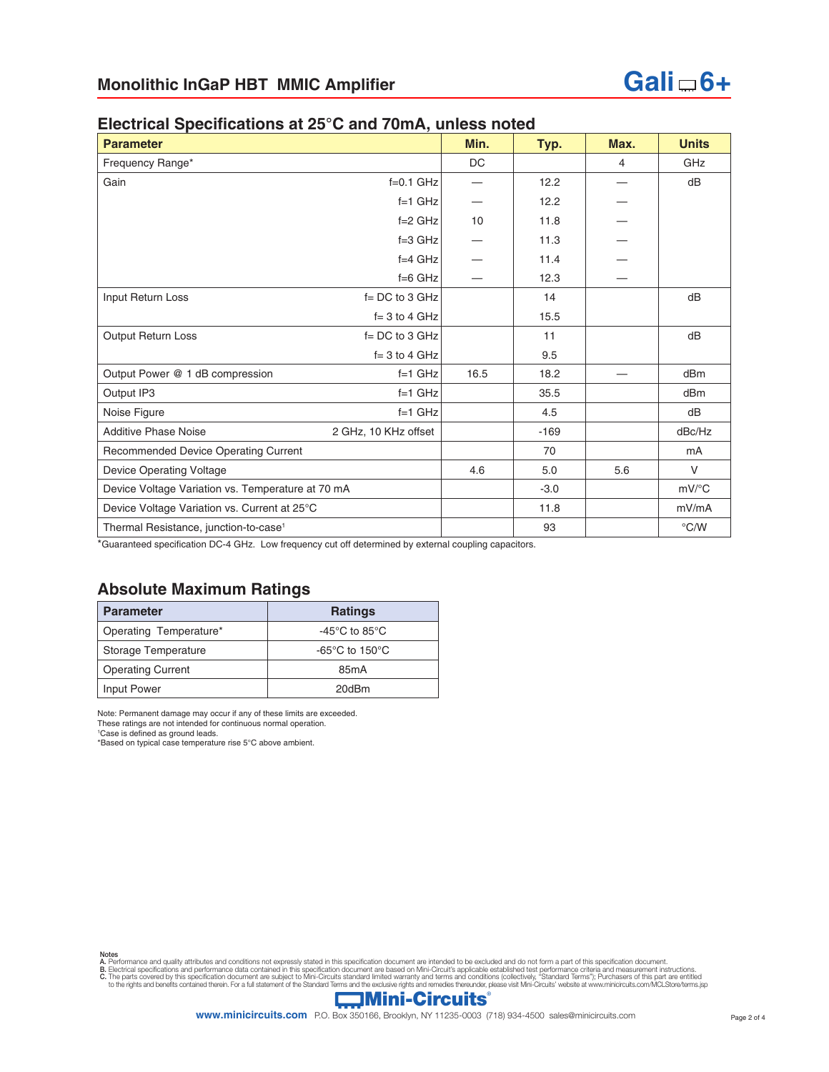#### **Electrical Specifications at 25°C and 70mA, unless noted**

| <b>Parameter</b>                                  |                      | Min.      | Typ.   | Max.           | <b>Units</b>        |
|---------------------------------------------------|----------------------|-----------|--------|----------------|---------------------|
| Frequency Range*                                  |                      | <b>DC</b> |        | $\overline{4}$ | GHz                 |
| Gain                                              | $f=0.1$ GHz          |           | 12.2   |                | dB                  |
|                                                   | $f=1$ GHz            |           | 12.2   |                |                     |
|                                                   | $f=2$ GHz            | 10        | 11.8   |                |                     |
|                                                   | $f=3$ GHz            |           | 11.3   |                |                     |
|                                                   | $f=4$ GHz            |           | 11.4   |                |                     |
|                                                   | $f=6$ GHz            |           | 12.3   |                |                     |
| Input Return Loss                                 | $f = DC$ to 3 GHz    |           | 14     |                | dB                  |
|                                                   | $f = 3$ to 4 GHz     |           | 15.5   |                |                     |
| Output Return Loss                                | $f = DC$ to 3 GHz    |           | 11     |                | dB                  |
|                                                   | $f = 3$ to 4 GHz     |           | 9.5    |                |                     |
| Output Power @ 1 dB compression                   | $f=1$ GHz            | 16.5      | 18.2   |                | dBm                 |
| Output IP3                                        | $f=1$ GHz            |           | 35.5   |                | dBm                 |
| Noise Figure                                      | $f=1$ GHz            |           | 4.5    |                | dB                  |
| <b>Additive Phase Noise</b>                       | 2 GHz, 10 KHz offset |           | $-169$ |                | dBc/Hz              |
| Recommended Device Operating Current              |                      |           | 70     |                | m <sub>A</sub>      |
| <b>Device Operating Voltage</b>                   |                      | 4.6       | 5.0    | 5.6            | $\vee$              |
| Device Voltage Variation vs. Temperature at 70 mA |                      |           | $-3.0$ |                | $mV$ <sup>o</sup> C |
| Device Voltage Variation vs. Current at 25°C      |                      |           | 11.8   |                | mV/mA               |
| Thermal Resistance, junction-to-case <sup>1</sup> |                      |           | 93     |                | $\degree$ C/W       |

\*Guaranteed specification DC-4 GHz. Low frequency cut off determined by external coupling capacitors.

## **Absolute Maximum Ratings**

| <b>Parameter</b>         | <b>Ratings</b>                                      |  |  |
|--------------------------|-----------------------------------------------------|--|--|
| Operating Temperature*   | -45 $\mathrm{^{\circ}C}$ to 85 $\mathrm{^{\circ}C}$ |  |  |
| Storage Temperature      | -65 $\degree$ C to 150 $\degree$ C                  |  |  |
| <b>Operating Current</b> | 85 <sub>m</sub> A                                   |  |  |
| Input Power              | 20dBm                                               |  |  |

Note: Permanent damage may occur if any of these limits are exceeded.

These ratings are not intended for continuous normal operation. 1 Case is defined as ground leads.

\*Based on typical case temperature rise 5°C above ambient.

Notes<br>A. Performance and quality attributes and conditions not expressly stated in this specification document are intended to be excluded and do not form a part of this specification document.<br>B. Electrical specifications

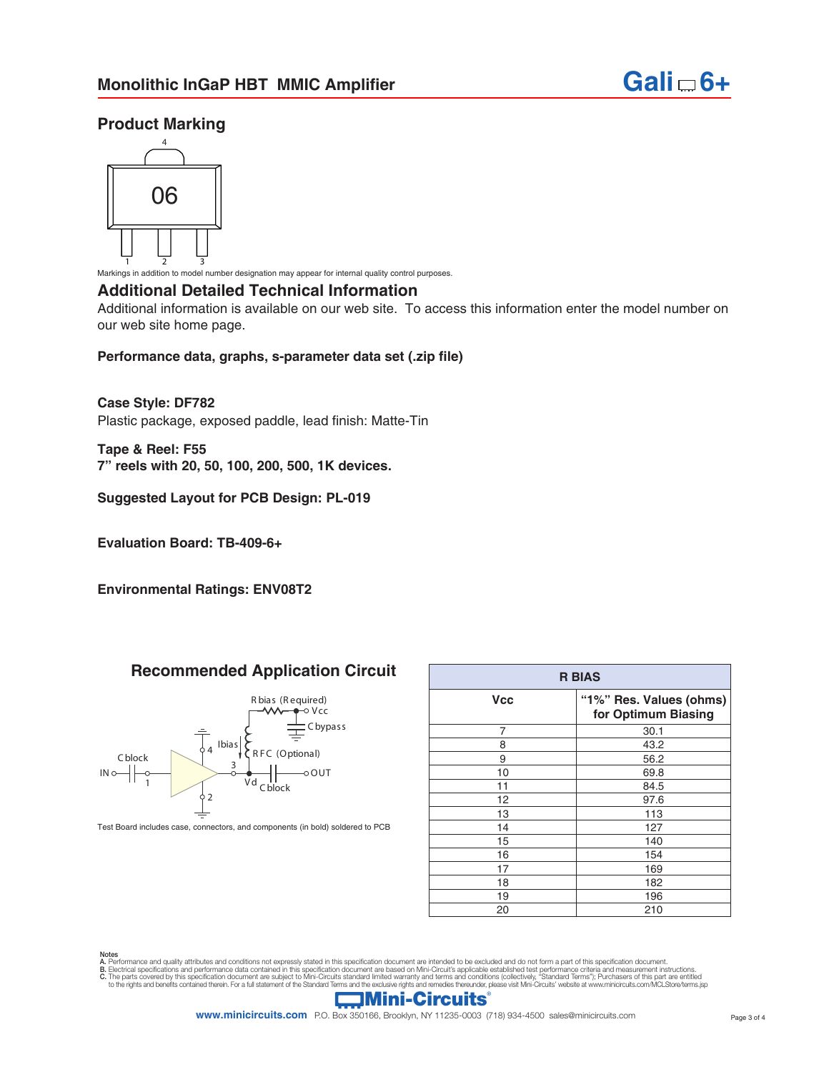

#### **Product Marking**



1 2 3 Markings in addition to model number designation may appear for internal quality control purposes.

#### **Additional Detailed Technical Information**

Additional information is available on our web site. To access this information enter the model number on our web site home page.

#### **Performance data, graphs, s-parameter data set (.zip file)**

#### **Case Style: DF782**

Plastic package, exposed paddle, lead finish: Matte-Tin

**Tape & Reel: F55 7" reels with 20, 50, 100, 200, 500, 1K devices.**

#### **Suggested Layout for PCB Design: PL-019**

**Evaluation Board: TB-409-6+**

**Environmental Ratings: ENV08T2**

#### **Recommended Application Circuit**



Test Board includes case, connectors, and components (in bold) soldered to PCB

| <b>R BIAS</b> |                                                |  |  |  |
|---------------|------------------------------------------------|--|--|--|
| <b>Vcc</b>    | "1%" Res. Values (ohms)<br>for Optimum Biasing |  |  |  |
| 7             | 30.1                                           |  |  |  |
| 8             | 43.2                                           |  |  |  |
| 9             | 56.2                                           |  |  |  |
| 10            | 69.8                                           |  |  |  |
| 11            | 84.5                                           |  |  |  |
| 12            | 97.6                                           |  |  |  |
| 13            | 113                                            |  |  |  |
| 14            | 127                                            |  |  |  |
| 15            | 140                                            |  |  |  |
| 16            | 154                                            |  |  |  |
| 17            | 169                                            |  |  |  |
| 18            | 182                                            |  |  |  |
| 19            | 196                                            |  |  |  |
| 20            | 210                                            |  |  |  |

Notes<br>A. Performance and quality attributes and conditions not expressly stated in this specification document are intended to be excluded and do not form a part of this specification document.<br>B. Electrical specifications



**www.minicircuits.com** P.O. Box 350166, Brooklyn, NY 11235-0003 (718) 934-4500 sales@minicircuits.com Page 3 of 4